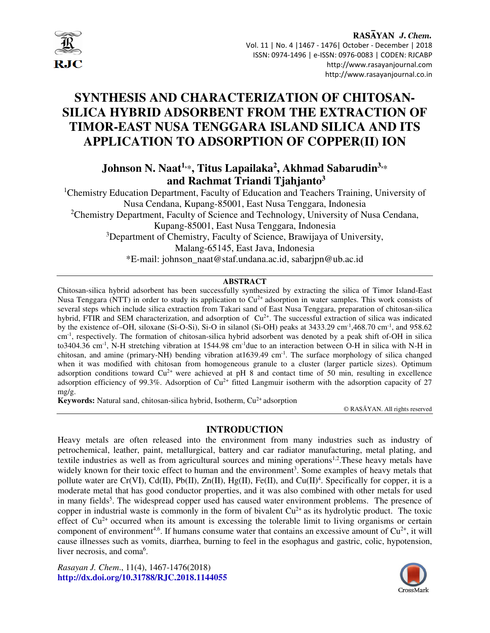

## RASAYAN J. Chem. Vol. 11 | No. 4 |1467 - 1476| October - December | 2018 ISSN: 0974-1496 | e-ISSN: 0976-0083 | CODEN: RJCABP http://www.rasayanjournal.com http://www.rasayanjournal.co.in

# **SYNTHESIS AND CHARACTERIZATION OF CHITOSAN-SILICA HYBRID ADSORBENT FROM THE EXTRACTION OF TIMOR-EAST NUSA TENGGARA ISLAND SILICA AND ITS APPLICATION TO ADSORPTION OF COPPER(II) ION**

## **Johnson N. Naat1,**\***, Titus Lapailaka<sup>2</sup> , Akhmad Sabarudin3,**\*  **and Rachmat Triandi Tjahjanto<sup>3</sup>**

<sup>1</sup>Chemistry Education Department, Faculty of Education and Teachers Training, University of Nusa Cendana, Kupang-85001, East Nusa Tenggara, Indonesia <sup>2</sup>Chemistry Department, Faculty of Science and Technology, University of Nusa Cendana, Kupang-85001, East Nusa Tenggara, Indonesia <sup>3</sup>Department of Chemistry, Faculty of Science, Brawijaya of University, Malang-65145, East Java, Indonesia \*E-mail: johnson\_naat@staf.undana.ac.id, sabarjpn@ub.ac.id

## **ABSTRACT**

Chitosan-silica hybrid adsorbent has been successfully synthesized by extracting the silica of Timor Island-East Nusa Tenggara (NTT) in order to study its application to  $Cu^{2+}$  adsorption in water samples. This work consists of several steps which include silica extraction from Takari sand of East Nusa Tenggara, preparation of chitosan-silica hybrid, FTIR and SEM characterization, and adsorption of  $Cu^{2+}$ . The successful extraction of silica was indicated by the existence of–OH, siloxane (Si-O-Si), Si-O in silanol (Si-OH) peaks at 3433.29 cm-1,468.70 cm-1, and 958.62 cm-1, respectively. The formation of chitosan-silica hybrid adsorbent was denoted by a peak shift of-OH in silica to3404.36 cm<sup>-1</sup>, N-H stretching vibration at 1544.98 cm<sup>-1</sup>due to an interaction between O-H in silica with N-H in chitosan, and amine (primary-NH) bending vibration at 1639.49 cm<sup>-1</sup>. The surface morphology of silica changed when it was modified with chitosan from homogeneous granule to a cluster (larger particle sizes). Optimum adsorption conditions toward  $Cu^{2+}$  were achieved at pH 8 and contact time of 50 min, resulting in excellence adsorption efficiency of 99.3%. Adsorption of  $Cu^{2+}$  fitted Langmuir isotherm with the adsorption capacity of 27 mg/g.

**Keywords:** Natural sand, chitosan-silica hybrid, Isotherm, Cu<sup>2+</sup> adsorption

© RASĀYAN. All rights reserved

## **INTRODUCTION**

Heavy metals are often released into the environment from many industries such as industry of petrochemical, leather, paint, metallurgical, battery and car radiator manufacturing, metal plating, and textile industries as well as from agricultural sources and mining operations<sup>1,2</sup>. These heavy metals have widely known for their toxic effect to human and the environment<sup>3</sup>. Some examples of heavy metals that pollute water are Cr(VI), Cd(II), Pb(II), Zn(II), Hg(II), Fe(II), and Cu(II)<sup>4</sup>. Specifically for copper, it is a moderate metal that has good conductor properties, and it was also combined with other metals for used in many fields<sup>5</sup>. The widespread copper used has caused water environment problems. The presence of copper in industrial waste is commonly in the form of bivalent  $Cu^{2+}$  as its hydrolytic product. The toxic effect of  $Cu^{2+}$  occurred when its amount is excessing the tolerable limit to living organisms or certain component of environment<sup>4,6</sup>. If humans consume water that contains an excessive amount of  $Cu^{2+}$ , it will cause illnesses such as vomits, diarrhea, burning to feel in the esophagus and gastric, colic, hypotension, liver necrosis, and coma<sup>6</sup>.

*Rasayan J. Chem*., 11(4), 1467-1476(2018) **http://dx.doi.org/10.31788/RJC.2018.1144055**

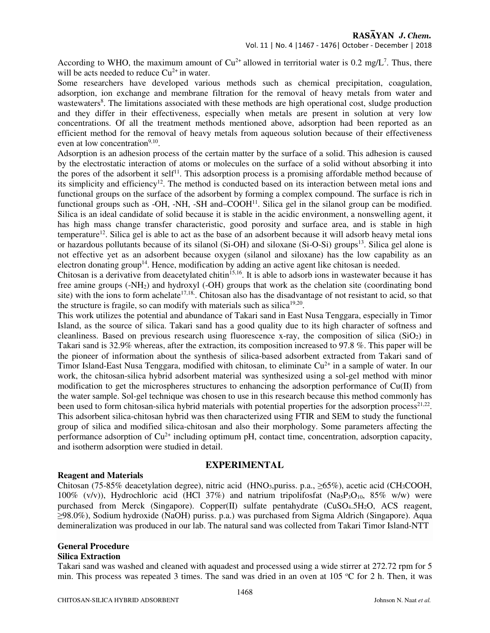According to WHO, the maximum amount of  $Cu^{2+}$  allowed in territorial water is 0.2 mg/L<sup>7</sup>. Thus, there will be acts needed to reduce  $Cu^{2+}$  in water.

Some researchers have developed various methods such as chemical precipitation, coagulation, adsorption, ion exchange and membrane filtration for the removal of heavy metals from water and wastewaters<sup>8</sup>. The limitations associated with these methods are high operational cost, sludge production and they differ in their effectiveness, especially when metals are present in solution at very low concentrations. Of all the treatment methods mentioned above, adsorption had been reported as an efficient method for the removal of heavy metals from aqueous solution because of their effectiveness even at low concentration $9,10$ .

Adsorption is an adhesion process of the certain matter by the surface of a solid. This adhesion is caused by the electrostatic interaction of atoms or molecules on the surface of a solid without absorbing it into the pores of the adsorbent it self<sup>11</sup>. This adsorption process is a promising affordable method because of its simplicity and efficiency<sup>12</sup>. The method is conducted based on its interaction between metal ions and functional groups on the surface of the adsorbent by forming a complex compound. The surface is rich in functional groups such as  $-OH$ ,  $-NH$ ,  $-SH$  and $-COOH<sup>11</sup>$ . Silica gel in the silanol group can be modified. Silica is an ideal candidate of solid because it is stable in the acidic environment, a nonswelling agent, it has high mass change transfer characteristic, good porosity and surface area, and is stable in high temperature<sup>12</sup>. Silica gel is able to act as the base of an adsorbent because it will adsorb heavy metal ions or hazardous pollutants because of its silanol (Si-OH) and siloxane (Si-O-Si) groups<sup>13</sup>. Silica gel alone is not effective yet as an adsorbent because oxygen (silanol and siloxane) has the low capability as an electron donating group<sup>14</sup>. Hence, modification by adding an active agent like chitosan is needed.

Chitosan is a derivative from deacetylated chitin<sup>15,16</sup>. It is able to adsorb ions in wastewater because it has free amine groups (-NH2) and hydroxyl (-OH) groups that work as the chelation site (coordinating bond site) with the ions to form achelate<sup>17,18</sup>. Chitosan also has the disadvantage of not resistant to acid, so that the structure is fragile, so can modify with materials such as silica<sup>19,20</sup>.

This work utilizes the potential and abundance of Takari sand in East Nusa Tenggara, especially in Timor Island, as the source of silica. Takari sand has a good quality due to its high character of softness and cleanliness. Based on previous research using fluorescence x-ray, the composition of silica ( $SiO<sub>2</sub>$ ) in Takari sand is 32.9% whereas, after the extraction, its composition increased to 97.8 %. This paper will be the pioneer of information about the synthesis of silica-based adsorbent extracted from Takari sand of Timor Island-East Nusa Tenggara, modified with chitosan, to eliminate  $Cu^{2+}$  in a sample of water. In our work, the chitosan-silica hybrid adsorbent material was synthesized using a sol-gel method with minor modification to get the microspheres structures to enhancing the adsorption performance of Cu(II) from the water sample. Sol-gel technique was chosen to use in this research because this method commonly has been used to form chitosan-silica hybrid materials with potential properties for the adsorption process<sup>21,22</sup>. This adsorbent silica-chitosan hybrid was then characterized using FTIR and SEM to study the functional group of silica and modified silica-chitosan and also their morphology. Some parameters affecting the performance adsorption of  $Cu^{2+}$  including optimum pH, contact time, concentration, adsorption capacity, and isotherm adsorption were studied in detail.

#### **Reagent and Materials**

#### **EXPERIMENTAL**

Chitosan (75-85% deacetylation degree), nitric acid (HNO<sub>3</sub>, puriss. p.a.,  $\geq$ 65%), acetic acid (CH<sub>3</sub>COOH, 100% (v/v)), Hydrochloric acid (HCl 37%) and natrium tripolifosfat (Na<sub>5</sub>P<sub>3</sub>O<sub>10</sub>, 85% w/w) were purchased from Merck (Singapore). Copper(II) sulfate pentahydrate (CuSO<sub>4</sub>.5H<sub>2</sub>O, ACS reagent, ≥98.0%), Sodium hydroxide (NaOH) puriss. p.a.) was purchased from Sigma Aldrich (Singapore). Aqua demineralization was produced in our lab. The natural sand was collected from Takari Timor Island-NTT

#### **General Procedure**

#### **Silica Extraction**

Takari sand was washed and cleaned with aquadest and processed using a wide stirrer at 272.72 rpm for 5 min. This process was repeated 3 times. The sand was dried in an oven at  $105^{\circ}$ C for 2 h. Then, it was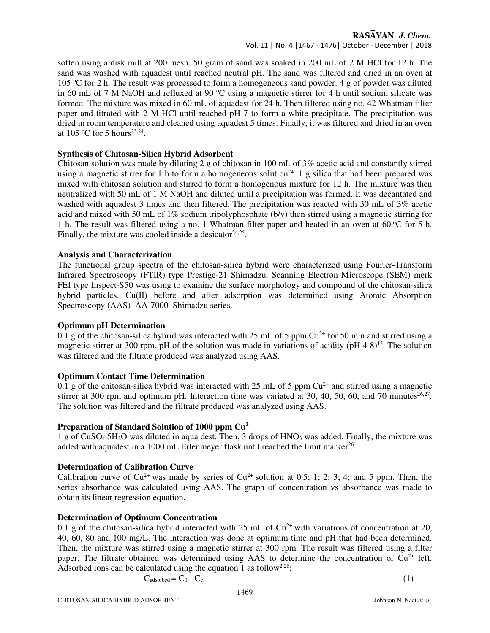## RASAYAN J. Chem.

Vol. 11 | No. 4 |1467 - 1476| October - December | 2018

soften using a disk mill at 200 mesh. 50 gram of sand was soaked in 200 mL of 2 M HCl for 12 h. The sand was washed with aquadest until reached neutral pH. The sand was filtered and dried in an oven at 105 <sup>o</sup>C for 2 h. The result was processed to form a homogeneous sand powder. 4 g of powder was diluted in 60 mL of 7 M NaOH and refluxed at 90  $^{\circ}$ C using a magnetic stirrer for 4 h until sodium silicate was formed. The mixture was mixed in 60 mL of aquadest for 24 h. Then filtered using no. 42 Whatman filter paper and titrated with 2 M HCl until reached pH 7 to form a white precipitate. The precipitation was dried in room temperature and cleaned using aquadest 5 times. Finally, it was filtered and dried in an oven at 105 °C for 5 hours<sup>23,24</sup>.

## **Synthesis of Chitosan-Silica Hybrid Adsorbent**

Chitosan solution was made by diluting 2 g of chitosan in 100 mL of 3% acetic acid and constantly stirred using a magnetic stirrer for 1 h to form a homogeneous solution<sup>24</sup>. 1 g silica that had been prepared was mixed with chitosan solution and stirred to form a homogenous mixture for 12 h. The mixture was then neutralized with 50 mL of 1 M NaOH and diluted until a precipitation was formed. It was decantated and washed with aquadest 3 times and then filtered. The precipitation was reacted with 30 mL of 3% acetic acid and mixed with 50 mL of 1% sodium tripolyphosphate (b/v) then stirred using a magnetic stirring for 1 h. The result was filtered using a no. 1 Whatman filter paper and heated in an oven at  $60^{\circ}$ C for 5 h. Finally, the mixture was cooled inside a desicator  $24,25$ .

## **Analysis and Characterization**

The functional group spectra of the chitosan-silica hybrid were characterized using Fourier-Transform Infrared Spectroscopy (FTIR) type Prestige-21 Shimadzu. Scanning Electron Microscope (SEM) merk FEI type Inspect-S50 was using to examine the surface morphology and compound of the chitosan-silica hybrid particles. Cu(II) before and after adsorption was determined using Atomic Absorption Spectroscopy (AAS) AA-7000 Shimadzu series.

## **Optimum pH Determination**

0.1 g of the chitosan-silica hybrid was interacted with 25 mL of 5 ppm Cu<sup>2+</sup> for 50 min and stirred using a magnetic stirrer at 300 rpm. pH of the solution was made in variations of acidity (pH  $4-8$ )<sup>15</sup>. The solution was filtered and the filtrate produced was analyzed using AAS.

## **Optimum Contact Time Determination**

0.1 g of the chitosan-silica hybrid was interacted with 25 mL of 5 ppm  $Cu^{2+}$  and stirred using a magnetic stirrer at 300 rpm and optimum pH. Interaction time was variated at 30, 40, 50, 60, and 70 minutes $^{26,27}$ . The solution was filtered and the filtrate produced was analyzed using AAS.

## **Preparation of Standard Solution of 1000 ppm Cu2+**

1 g of  $CuSO<sub>4</sub>5H<sub>2</sub>O$  was diluted in aqua dest. Then, 3 drops of HNO<sub>3</sub> was added. Finally, the mixture was added with aquadest in a 1000 mL Erlenmeyer flask until reached the limit marker<sup>26</sup>.

## **Determination of Calibration Curve**

Calibration curve of  $Cu^{2+}$  was made by series of  $Cu^{2+}$  solution at 0.5; 1; 2; 3; 4; and 5 ppm. Then, the series absorbance was calculated using AAS. The graph of concentration vs absorbance was made to obtain its linear regression equation.

## **Determination of Optimum Concentration**

0.1 g of the chitosan-silica hybrid interacted with 25 mL of  $Cu^{2+}$  with variations of concentration at 20, 40, 60, 80 and 100 mg/L. The interaction was done at optimum time and pH that had been determined. Then, the mixture was stirred using a magnetic stirrer at 300 rpm. The result was filtered using a filter paper. The filtrate obtained was determined using AAS to determine the concentration of  $Cu^{2+}$  left. Adsorbed ions can be calculated using the equation 1 as follow<sup>2,28</sup>:

$$
C_{adsorbed} = C_0 - C_e \tag{1}
$$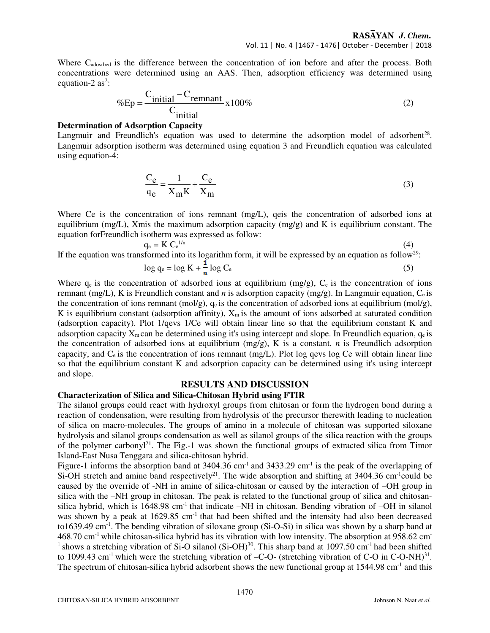Where Cadosrbed is the difference between the concentration of ion before and after the process. Both concentrations were determined using an AAS. Then, adsorption efficiency was determined using equation-2  $as^2$ :

$$
\%Ep = \frac{C_{initial} - C_{remnant}}{C_{initial}} \times 100\%
$$
 (2)

#### **Determination of Adsorption Capacity**

Langmuir and Freundlich's equation was used to determine the adsorption model of adsorbent<sup>28</sup>. Langmuir adsorption isotherm was determined using equation 3 and Freundlich equation was calculated using equation-4:

$$
\frac{C_e}{q_e} = \frac{1}{X_m K} + \frac{C_e}{X_m}
$$
(3)

Where Ce is the concentration of ions remnant (mg/L), qeis the concentration of adsorbed ions at equilibrium (mg/L), Xmis the maximum adsorption capacity (mg/g) and K is equilibrium constant. The equation forFreundlich isotherm was expressed as follow:

$$
q_e = K C_e^{1/n}
$$
 (4)  
If the equation was transformed into its logarithm form, it will be expressed by an equation as follow<sup>29</sup>

If the equation was transformed into its logarithm form, it will be expressed by an equation as follow<sup>29</sup>:

$$
\log q_e = \log K + \frac{1}{n} \log C_e \tag{5}
$$

Where  $q_e$  is the concentration of adsorbed ions at equilibrium (mg/g),  $C_e$  is the concentration of ions remnant (mg/L), K is Freundlich constant and *n* is adsorption capacity (mg/g). In Langmuir equation, Ce is the concentration of ions remnant (mol/g),  $q_e$  is the concentration of adsorbed ions at equilibrium (mol/g), K is equilibrium constant (adsorption affinity),  $X_m$  is the amount of ions adsorbed at saturated condition (adsorption capacity). Plot 1/qevs 1/Ce will obtain linear line so that the equilibrium constant K and adsorption capacity  $X_m$  can be determined using it's using intercept and slope. In Freundlich equation,  $q_e$  is the concentration of adsorbed ions at equilibrium (mg/g), K is a constant, *n* is Freundlich adsorption capacity, and  $C_e$  is the concentration of ions remnant (mg/L). Plot log qevs log Ce will obtain linear line so that the equilibrium constant K and adsorption capacity can be determined using it's using intercept and slope.

## **RESULTS AND DISCUSSION**

### **Characterization of Silica and Silica-Chitosan Hybrid using FTIR**

The silanol groups could react with hydroxyl groups from chitosan or form the hydrogen bond during a reaction of condensation, were resulting from hydrolysis of the precursor therewith leading to nucleation of silica on macro-molecules. The groups of amino in a molecule of chitosan was supported siloxane hydrolysis and silanol groups condensation as well as silanol groups of the silica reaction with the groups of the polymer carbonyl<sup>21</sup>. The Fig.-1 was shown the functional groups of extracted silica from Timor Island-East Nusa Tenggara and silica-chitosan hybrid.

Figure-1 informs the absorption band at  $3404.36$  cm<sup>-1</sup> and  $3433.29$  cm<sup>-1</sup> is the peak of the overlapping of Si-OH stretch and amine band respectively<sup>21</sup>. The wide absorption and shifting at  $3404.36$  cm<sup>-1</sup>could be caused by the override of -NH in amine of silica-chitosan or caused by the interaction of –OH group in silica with the –NH group in chitosan. The peak is related to the functional group of silica and chitosansilica hybrid, which is 1648.98 cm<sup>-1</sup> that indicate –NH in chitosan. Bending vibration of –OH in silanol was shown by a peak at 1629.85 cm<sup>-1</sup> that had been shifted and the intensity had also been decreased to1639.49 cm-1. The bending vibration of siloxane group (Si-O-Si) in silica was shown by a sharp band at 468.70 cm-1 while chitosan-silica hybrid has its vibration with low intensity. The absorption at 958.62 cm-<sup>1</sup> shows a stretching vibration of Si-O silanol (Si-OH)<sup>30</sup>. This sharp band at 1097.50 cm<sup>-1</sup> had been shifted to 1099.43 cm<sup>-1</sup> which were the stretching vibration of  $-C-O$ - (stretching vibration of C-O in C-O-NH)<sup>31</sup>. The spectrum of chitosan-silica hybrid adsorbent shows the new functional group at 1544.98 cm<sup>-1</sup> and this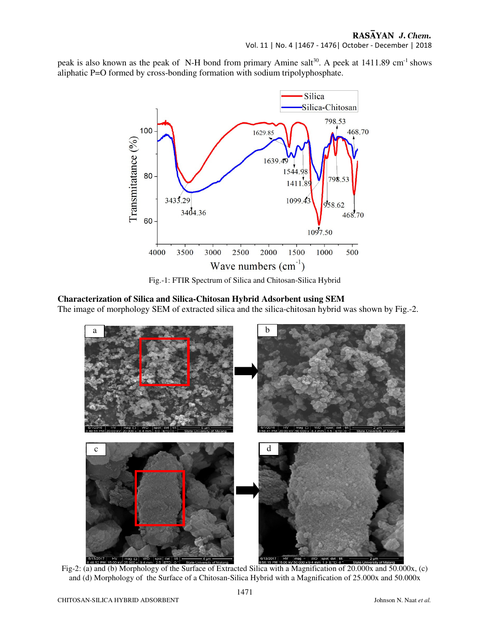## RASAYAN J. Chem.

Vol. 11 | No. 4 |1467 - 1476| October - December | 2018

peak is also known as the peak of N-H bond from primary Amine salt<sup>30</sup>. A peek at 1411.89 cm<sup>-1</sup> shows aliphatic P=O formed by cross-bonding formation with sodium tripolyphosphate.



Fig.-1: FTIR Spectrum of Silica and Chitosan-Silica Hybrid

## **Characterization of Silica and Silica-Chitosan Hybrid Adsorbent using SEM**

The image of morphology SEM of extracted silica and the silica-chitosan hybrid was shown by Fig.-2.



Fig-2: (a) and (b) Morphology of the Surface of Extracted Silica with a Magnification of 20.000x and 50.000x, (c) and (d) Morphology of the Surface of a Chitosan-Silica Hybrid with a Magnification of 25.000x and 50.000x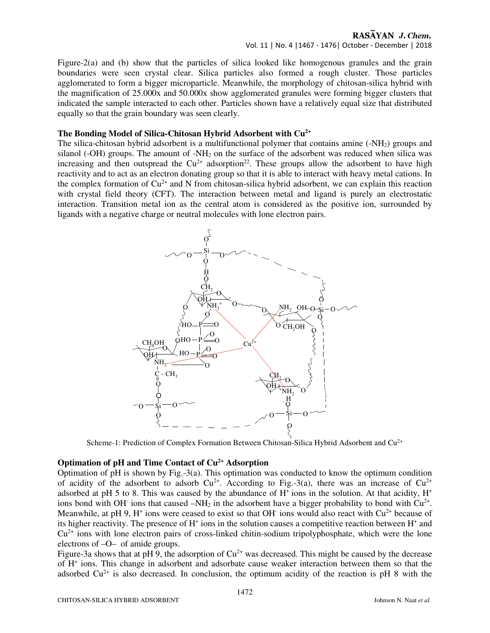## RASAYAN J. Chem.

#### Vol. 11 | No. 4 |1467 - 1476| October - December | 2018

Figure-2(a) and (b) show that the particles of silica looked like homogenous granules and the grain boundaries were seen crystal clear. Silica particles also formed a rough cluster. Those particles agglomerated to form a bigger microparticle. Meanwhile, the morphology of chitosan-silica hybrid with the magnification of 25.000x and 50.000x show agglomerated granules were forming bigger clusters that indicated the sample interacted to each other. Particles shown have a relatively equal size that distributed equally so that the grain boundary was seen clearly.

#### **The Bonding Model of Silica-Chitosan Hybrid Adsorbent with Cu2+**

The silica-chitosan hybrid adsorbent is a multifunctional polymer that contains amine (-NH2) groups and silanol (-OH) groups. The amount of  $-MH<sub>2</sub>$  on the surface of the adsorbent was reduced when silica was increasing and then outspread the  $Cu^{2+}$  adsorption<sup>22</sup>. These groups allow the adsorbent to have high reactivity and to act as an electron donating group so that it is able to interact with heavy metal cations. In the complex formation of  $Cu^{2+}$  and N from chitosan-silica hybrid adsorbent, we can explain this reaction with crystal field theory (CFT). The interaction between metal and ligand is purely an electrostatic interaction. Transition metal ion as the central atom is considered as the positive ion, surrounded by ligands with a negative charge or neutral molecules with lone electron pairs.



Scheme-1: Prediction of Complex Formation Between Chitosan-Silica Hybrid Adsorbent and  $Cu<sup>2+</sup>$ 

## **Optimation of pH and Time Contact of Cu2+ Adsorption**

Optimation of pH is shown by Fig.-3(a). This optimation was conducted to know the optimum condition of acidity of the adsorbent to adsorb  $Cu^{2+}$ . According to Fig.-3(a), there was an increase of  $Cu^{2+}$ adsorbed at pH 5 to 8. This was caused by the abundance of  $H^+$  ions in the solution. At that acidity,  $H^+$ ions bond with OH<sup>-</sup> ions that caused  $-NH_2$  in the adsorbent have a bigger probability to bond with  $Cu^{2+}$ . Meanwhile, at pH 9,  $H^+$  ions were ceased to exist so that OH $\cdot$  ions would also react with Cu<sup>2+</sup> because of its higher reactivity. The presence of  $H^+$  ions in the solution causes a competitive reaction between  $H^+$  and  $Cu<sup>2+</sup>$  ions with lone electron pairs of cross-linked chitin-sodium tripolyphosphate, which were the lone electrons of –O– of amide groups.

Figure-3a shows that at pH 9, the adsorption of  $Cu^{2+}$  was decreased. This might be caused by the decrease of H<sup>+</sup> ions. This change in adsorbent and adsorbate cause weaker interaction between them so that the adsorbed  $Cu^{2+}$  is also decreased. In conclusion, the optimum acidity of the reaction is pH 8 with the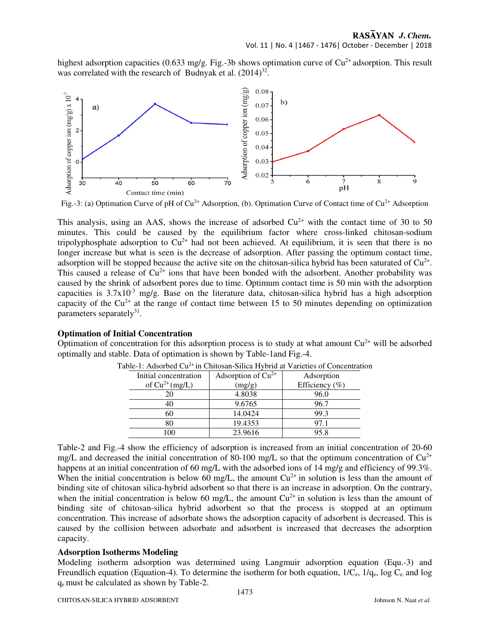## Vol. 11 | No. 4 |1467 - 1476| October - December | 2018

highest adsorption capacities (0.633 mg/g. Fig.-3b shows optimation curve of  $Cu^{2+}$  adsorption. This result was correlated with the research of Budnyak et al.  $(2014)^{32}$ .



Fig.-3: (a) Optimation Curve of pH of  $Cu^{2+}$  Adsorption, (b). Optimation Curve of Contact time of  $Cu^{2+}$  Adsorption

This analysis, using an AAS, shows the increase of adsorbed  $Cu^{2+}$  with the contact time of 30 to 50 minutes. This could be caused by the equilibrium factor where cross-linked chitosan-sodium tripolyphosphate adsorption to  $Cu^{2+}$  had not been achieved. At equilibrium, it is seen that there is no longer increase but what is seen is the decrease of adsorption. After passing the optimum contact time, adsorption will be stopped because the active site on the chitosan-silica hybrid has been saturated of  $Cu<sup>2+</sup>$ . This caused a release of  $Cu^{2+}$  ions that have been bonded with the adsorbent. Another probability was caused by the shrink of adsorbent pores due to time. Optimum contact time is 50 min with the adsorption capacities is  $3.7x10^{-3}$  mg/g. Base on the literature data, chitosan-silica hybrid has a high adsorption capacity of the  $Cu^{2+}$  at the range of contact time between 15 to 50 minutes depending on optimization parameters separately<sup>31</sup>.

#### **Optimation of Initial Concentration**

Optimation of concentration for this adsorption process is to study at what amount  $Cu^{2+}$  will be adsorbed optimally and stable. Data of optimation is shown by Table-1and Fig.-4.

| Initial concentration | Adsorption of $Cu2+$ | Adsorption     |
|-----------------------|----------------------|----------------|
| of $Cu^{2+}$ (mg/L)   | (mg/g)               | Efficiency (%) |
|                       | 4.8038               | 96.0           |
|                       | 9.6765               | 96.7           |
|                       | 14.0424              | 99.3           |
| 80                    | 19.4353              | 97.1           |
| 100                   | 23.9616              | 95.8           |

Table-1: Adsorbed Cu<sup>2+</sup> in Chitosan-Silica Hybrid at Varieties of Concentration

Table-2 and Fig.-4 show the efficiency of adsorption is increased from an initial concentration of 20-60 mg/L and decreased the initial concentration of 80-100 mg/L so that the optimum concentration of  $Cu^{2+}$ happens at an initial concentration of 60 mg/L with the adsorbed ions of 14 mg/g and efficiency of 99.3%. When the initial concentration is below 60 mg/L, the amount  $Cu^{2+}$  in solution is less than the amount of binding site of chitosan silica-hybrid adsorbent so that there is an increase in adsorption. On the contrary, when the initial concentration is below 60 mg/L, the amount  $Cu^{2+}$  in solution is less than the amount of binding site of chitosan-silica hybrid adsorbent so that the process is stopped at an optimum concentration. This increase of adsorbate shows the adsorption capacity of adsorbent is decreased. This is caused by the collision between adsorbate and adsorbent is increased that decreases the adsorption capacity.

#### **Adsorption Isotherms Modeling**

Modeling isotherm adsorption was determined using Langmuir adsorption equation (Equ.-3) and Freundlich equation (Equation-4). To determine the isotherm for both equation,  $1/C_e$ ,  $1/q_e$ , log  $C_e$ , and log qe must be calculated as shown by Table-2.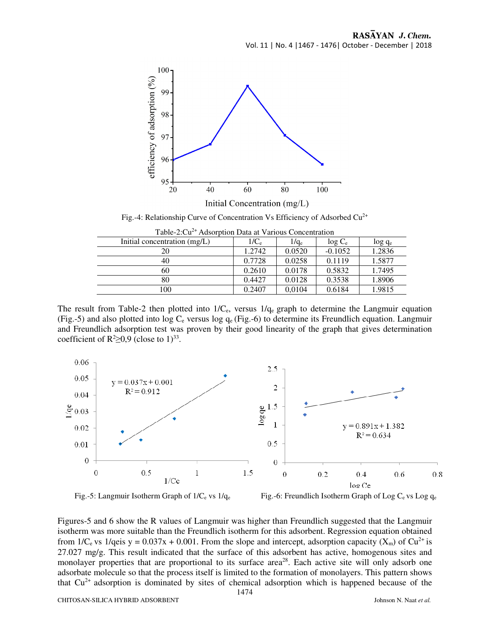

Fig.-4: Relationship Curve of Concentration Vs Efficiency of Adsorbed  $Cu^{2+}$ 

Table-2:Cu2+ Adsorption Data at Various Concentration

| Table-2.Cu - Ausbi bubli Dala at Various Concentration |         |         |           |           |  |
|--------------------------------------------------------|---------|---------|-----------|-----------|--|
| Initial concentration (mg/L)                           | $1/C_e$ | $1/q_e$ | $log C_e$ | $log q_e$ |  |
| 20                                                     | 1.2742  | 0.0520  | $-0.1052$ | 1.2836    |  |
| 40                                                     | 0.7728  | 0.0258  | 0.1119    | 1.5877    |  |
| 60                                                     | 0.2610  | 0.0178  | 0.5832    | 1.7495    |  |
| 80                                                     | 0.4427  | 0.0128  | 0.3538    | 1.8906    |  |
| 100                                                    | 0.2407  | 0.0104  | 0.6184    | 1.9815    |  |

The result from Table-2 then plotted into  $1/C_e$ , versus  $1/q_e$  graph to determine the Langmuir equation (Fig.-5) and also plotted into  $\log C_e$  versus  $\log q_e$  (Fig.-6) to determine its Freundlich equation. Langmuir and Freundlich adsorption test was proven by their good linearity of the graph that gives determination coefficient of  $R^2 \ge 0.9$  (close to 1)<sup>33</sup>.



Fig.-5: Langmuir Isotherm Graph of  $1/C_e$  vs  $1/q_e$  Fig.-6: Freundlich Isotherm Graph of Log  $C_e$  vs Log  $q_e$ 

Figures-5 and 6 show the R values of Langmuir was higher than Freundlich suggested that the Langmuir isotherm was more suitable than the Freundlich isotherm for this adsorbent. Regression equation obtained from 1/C<sub>e</sub> vs 1/qeis y = 0.037x + 0.001. From the slope and intercept, adsorption capacity (X<sub>m</sub>) of Cu<sup>2+</sup> is 27.027 mg/g. This result indicated that the surface of this adsorbent has active, homogenous sites and monolayer properties that are proportional to its surface area<sup>28</sup>. Each active site will only adsorb one adsorbate molecule so that the process itself is limited to the formation of monolayers. This pattern shows that  $Cu<sup>2+</sup>$  adsorption is dominated by sites of chemical adsorption which is happened because of the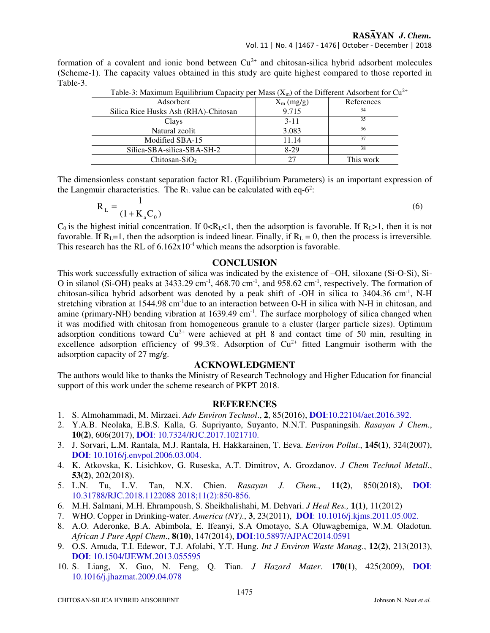formation of a covalent and ionic bond between  $Cu^{2+}$  and chitosan-silica hybrid adsorbent molecules (Scheme-1). The capacity values obtained in this study are quite highest compared to those reported in Table-3.

| Table-5. Maximum Equinomum Capacity per Mass ( $\Delta_{m}$ ) or the Dirictent Ausorocity for Ct |                |            |  |  |
|--------------------------------------------------------------------------------------------------|----------------|------------|--|--|
| Adsorbent                                                                                        | $X_{m}$ (mg/g) | References |  |  |
| Silica Rice Husks Ash (RHA)-Chitosan                                                             | 9.715          | 34         |  |  |
| Clays                                                                                            | $3 - 11$       | 35         |  |  |
| Natural zeolit                                                                                   | 3.083          | 36         |  |  |
| Modified SBA-15                                                                                  | 11.14          | 37         |  |  |
| Silica-SBA-silica-SBA-SH-2                                                                       | $8-29$         | 38         |  |  |
| Chitosan-SiO <sub>2</sub>                                                                        | 27             | This work  |  |  |

Table-3: Maximum Equilibrium Capacity per Mass  $(X_{\alpha})$  of the Different Adsorbent for  $Cu^{2+}$ 

The dimensionless constant separation factor RL (Equilibrium Parameters) is an important expression of the Langmuir characteristics. The  $R_L$  value can be calculated with eq-6<sup>2</sup>:

$$
R_{L} = \frac{1}{(1 + K_{a}C_{0})}
$$
 (6)

 $C_0$  is the highest initial concentration. If  $0 < R_L < 1$ , then the adsorption is favorable. If  $R_L > 1$ , then it is not favorable. If  $R_L=1$ , then the adsorption is indeed linear. Finally, if  $R_L = 0$ , then the process is irreversible. This research has the RL of  $6.162x10^4$  which means the adsorption is favorable.

## **CONCLUSION**

This work successfully extraction of silica was indicated by the existence of –OH, siloxane (Si-O-Si), Si-O in silanol (Si-OH) peaks at 3433.29 cm<sup>-1</sup>, 468.70 cm<sup>-1</sup>, and 958.62 cm<sup>-1</sup>, respectively. The formation of chitosan-silica hybrid adsorbent was denoted by a peak shift of -OH in silica to 3404.36 cm-1, N-H stretching vibration at 1544.98 cm<sup>-1</sup>due to an interaction between O-H in silica with N-H in chitosan, and amine (primary-NH) bending vibration at  $1639.49 \text{ cm}^{-1}$ . The surface morphology of silica changed when it was modified with chitosan from homogeneous granule to a cluster (larger particle sizes). Optimum adsorption conditions toward  $Cu^{2+}$  were achieved at pH 8 and contact time of 50 min, resulting in excellence adsorption efficiency of 99.3%. Adsorption of  $Cu^{2+}$  fitted Langmuir isotherm with the adsorption capacity of 27 mg/g.

#### **ACKNOWLEDGMENT**

The authors would like to thanks the Ministry of Research Technology and Higher Education for financial support of this work under the scheme research of PKPT 2018.

## **REFERENCES**

- 1. S. Almohammadi, M. Mirzaei. *Adv Environ Technol*., **2**, 85(2016), **DOI**:10.22104/aet.2016.392.
- 2. Y.A.B. Neolaka, E.B.S. Kalla, G. Supriyanto, Suyanto, N.N.T. Puspaningsih. *Rasayan J Chem*., **10(2)**, 606(2017), **DOI**: 10.7324/RJC.2017.1021710.
- 3. J. Sorvari, L.M. Rantala, M.J. Rantala, H. Hakkarainen, T. Eeva. *Environ Pollut*., **145(1)**, 324(2007), **DOI**: 10.1016/j.envpol.2006.03.004.
- 4. K. Atkovska, K. Lisichkov, G. Ruseska, A.T. Dimitrov, A. Grozdanov. *J Chem Technol Metall*., **53(2)**, 202(2018).
- 5. L.N. Tu, L.V. Tan, N.X. Chien. *Rasayan J. Chem*., **11(2)**, 850(2018), **DOI**: 10.31788/RJC.2018.1122088 2018;11(2):850-856.
- 6. M.H. Salmani, M.H. Ehrampoush, S. Sheikhalishahi, M. Dehvari. *J Heal Res.,* **1(1)**, 11(2012)
- 7. WHO. Copper in Drinking-water. *America (NY)*., **3**, 23(2011), **DOI**: 10.1016/j.kjms.2011.05.002.
- 8. A.O. Aderonke, B.A. Abimbola, E. Ifeanyi, S.A Omotayo, S.A Oluwagbemiga, W.M. Oladotun. *African J Pure Appl Chem*., **8(10)**, 147(2014), **DOI**:10.5897/AJPAC2014.0591
- 9. O.S. Amuda, T.I. Edewor, T.J. Afolabi, Y.T. Hung. *Int J Environ Waste Manag*., **12(2)**, 213(2013), **DOI**: 10.1504/IJEWM.2013.055595
- 10. S. Liang, X. Guo, N. Feng, Q. Tian. *J Hazard Mater*. **170(1)**, 425(2009), **DOI**: 10.1016/j.jhazmat.2009.04.078